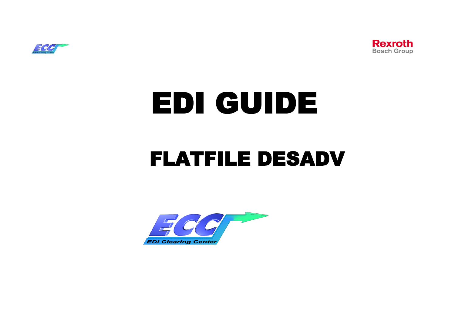



# EDI GUIDE

# FLATFILE DESADV

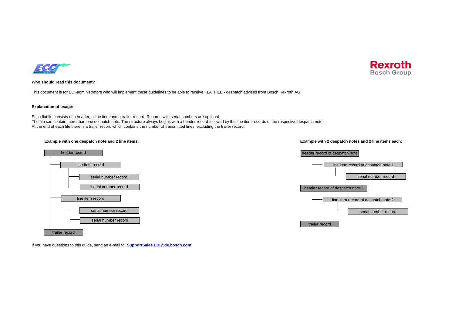



#### **Who should read this document?**

This document is for EDI-administrators who will implement these guidelines to be able to receive FLATFILE - despatch advises from Bosch Rexroth AG.

#### **Explanation of usage:**

Each flatfile consists of a header, a line item and a trailer record. Records with serial numbers are optional The file can contain more than one despatch note. The structure always begins with a header record followed by the line item records of the respective despatch note. At the end of each file there is a trailer record which contains the number of transmitted lines, excluding the trailer record.

#### **Example with one despatch note and 2 line items: Example with 2 despatch notes and 2 line items each:**





If you have questions to this guide, send an e-mail to: **SupportSales.EDI@de.bosch.com**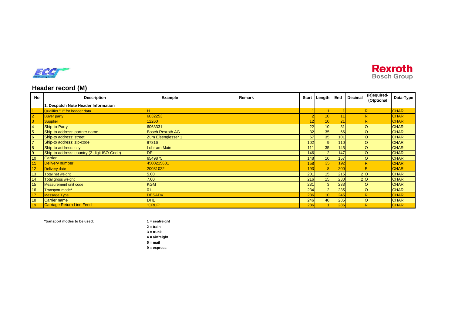



# **Header record (M)**

| No. | <b>Description</b>                          | Example                 | Remark | <b>Start</b> | Length           | End | <b>Decimal</b> | (R)equired-<br>(O)ptional | Data-Type   |
|-----|---------------------------------------------|-------------------------|--------|--------------|------------------|-----|----------------|---------------------------|-------------|
|     | 1. Despatch Note Header Information         |                         |        |              |                  |     |                |                           |             |
|     | Qualifier "H" for header data               |                         |        |              |                  |     |                | $\overline{\mathsf{R}}$   | <b>CHAR</b> |
|     | <b>Buyer party</b>                          | 6032253                 |        |              | 10               | 11  |                |                           | <b>CHAR</b> |
|     | <b>Supplier</b>                             | 12260                   |        | 12           | 10               | 21  |                | R                         | <b>CHAR</b> |
|     | Ship-to-Party                               | 6063331                 |        | 22           | 10               | 31  |                |                           | <b>CHAR</b> |
|     | Ship-to address: partner name               | <b>Bosch Rexroth AG</b> |        | 32           | 35               | 66  |                |                           | <b>CHAR</b> |
|     | Ship-to address: street                     | Zum Eisengiesser 1      |        | 67           | 35               | 101 |                |                           | <b>CHAR</b> |
|     | Ship-to address: zip-code                   | 97816                   |        | 102          | 9                | 110 |                |                           | <b>CHAR</b> |
|     | Ship-to address: city                       | Lohr am Main            |        | 111          | 35 <sub>1</sub>  | 145 |                |                           | <b>CHAR</b> |
|     | Ship-to address: country (2-digit ISO-Code) | <b>IDE</b>              |        | 146          | റ                | 147 |                |                           | <b>CHAR</b> |
| 10  | Carrier                                     | 6549875                 |        | 148          | 10 <sup>10</sup> | 157 |                | lO                        | <b>CHAR</b> |
| 11  | Delivery number                             | 4500215681              |        | 158          | 35               | 192 |                | R                         | <b>CHAR</b> |
| 12  | <b>Delivery date</b>                        | 20031022                |        | 193          |                  | 200 |                | R                         | <b>CHAR</b> |
| 13  | Total net weight                            | 5.00                    |        | 201          | 15 <sub>1</sub>  | 215 | 210            |                           | <b>CHAR</b> |
| 14  | Total gross weight                          | 7.00                    |        | 216          | 15               | 230 |                | 20                        | <b>CHAR</b> |
| 15  | Measurement unit code                       | <b>KGM</b>              |        | 231          |                  | 233 |                |                           | <b>CHAR</b> |
| 16  | Transport mode*                             | 01                      |        | 234          | $\epsilon$       | 235 |                |                           | <b>CHAR</b> |
| 17  | <b>Message Type</b>                         | <b>DESADV</b>           |        | 236          | 10               | 245 |                | R                         | <b>CHAR</b> |
| 18  | <b>Carrier name</b>                         | <b>DHL</b>              |        | 246          | 40               | 285 |                |                           | <b>CHAR</b> |
| 19  | <b>Carriage Return Line Feed</b>            | "CRLF"                  |        | 286          |                  | 286 |                | R                         | <b>CHAR</b> |

**\*transport modes to be used: 1 = seafreight**

**2 = train 3 = truck 4 = airfreight 5 = mail 9 = express**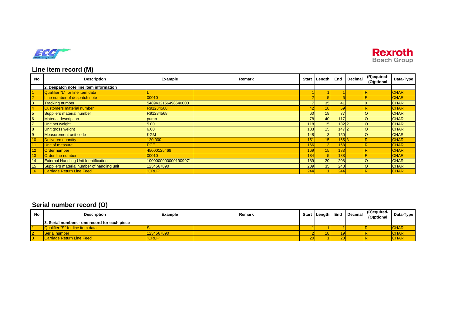



# **Line item record (M)**

| No.            | <b>Description</b>                           | Example              | Remark | <b>Start</b> | Length          | End   | <b>Decimal</b> | (R)equired-<br>(O)ptional | Data-Type   |
|----------------|----------------------------------------------|----------------------|--------|--------------|-----------------|-------|----------------|---------------------------|-------------|
|                | 2. Despatch note line item information       |                      |        |              |                 |       |                |                           |             |
|                | Qualifier "L" for line item data             |                      |        |              |                 |       |                | R                         | <b>CHAR</b> |
| $\overline{2}$ | Line number of despatch note                 | 00010                |        |              |                 |       |                |                           | <b>CHAR</b> |
| 3              | <b>Tracking number</b>                       | 5489432156498640000  |        |              | 35 <sub>1</sub> | 41    |                |                           | <b>CHAR</b> |
| $\overline{4}$ | <b>Customers material number</b>             | R91234568            |        | 42           | 18              | 59    |                |                           | <b>CHAR</b> |
| 5              | Suppliers material number                    | R91234568            |        | 60           | 18              | 77    |                |                           | <b>CHAR</b> |
| 6              | <b>Material description</b>                  | pump                 |        | 78           | 40              | 117   |                |                           | <b>CHAR</b> |
| $\overline{7}$ | Unit net weight                              | 5.00                 |        | 118          | 15 <sub>h</sub> | 132 2 |                |                           | <b>CHAR</b> |
| 8              | Unit gross weight                            | 6.00                 |        | 133          | 15 <sup>1</sup> | 147 2 |                |                           | <b>CHAR</b> |
| $\overline{9}$ | Measurement unit code                        | <b>KGM</b>           |        | 148          | 3 <sup>1</sup>  | 150   |                |                           | <b>CHAR</b> |
| <b>10</b>      | Delivered quantity                           | 120.000              |        | 151          |                 | 165 3 |                |                           | <b>CHAR</b> |
| 11             | Unit of measure                              | <b>PCE</b>           |        | 166          |                 | 168   |                |                           | <b>CHAR</b> |
| 12             | Order number                                 | 45000125468          |        | 169          | 15              | 183   |                |                           | <b>CHAR</b> |
| 13             | <b>Order line number</b>                     | 00010                |        | 184          |                 | 188   |                |                           | <b>CHAR</b> |
| 14             | <b>External Handling Unit Identification</b> | 10000000000001909971 |        | 189          | 20 <sub>1</sub> | 208   |                |                           | <b>CHAR</b> |
| 15             | Suppliers material number of handling unit   | 1234567890           |        | 209          | 35              | 243   |                |                           | <b>CHAR</b> |
| 16             | <b>Carriage Return Line Feed</b>             | "CRLF"               |        | 244          |                 | 244   |                |                           | <b>CHAR</b> |

# **Serial number record (O)**

| No.            | <b>Description</b>                            | Example     | Remark | <b>Start</b> | Length | End | Decimal | (R)equired-<br>(O)ptional | Data-Type |
|----------------|-----------------------------------------------|-------------|--------|--------------|--------|-----|---------|---------------------------|-----------|
|                | 3. Serial numbers - one record for each piece |             |        |              |        |     |         |                           |           |
|                | Qualifier "S" for line item data              |             |        |              |        |     |         |                           | CHAR      |
| $\overline{2}$ | <b>Serial number</b>                          | 234567890   |        |              |        |     |         |                           | CHAR      |
| <b>3</b>       | <b>Carriage Return Line Feed</b>              | <b>CRLF</b> |        | 20           |        | 20  |         |                           | CHAR      |